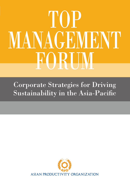# TOP<sup>1</sup> **MANAGEMENT** FORUM

Corporate Strategies for Driving Sustainability in the Asia-Pacific

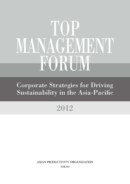## TOP MANAGEMENT FORUM

Corporate Strategies for Driving Sustainability in the Asia-Pacific

## 2012

**TOKYO** ASIAN PRODUCTIVITY ORGANIZATION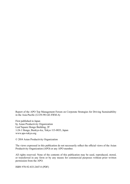Report of the APO Top Management Forum on Corporate Strategies for Driving Sustainability in the Asia-Pacific (12-IN-90-GE-FRM-A)

First published in Japan by Asian Productivity Organization Leaf Square Hongo Building, 2F 1-24-1 Hongo, Bunkyo-ku, Tokyo 113-0033, Japan www.apo-tokyo.org

© 2014 Asian Productivity Organization

The views expressed in this publication do not necessarily reflect the official views of the Asian Productivity Organization (APO) or any APO member.

All rights reserved. None of the contents of this publication may be used, reproduced, stored, or transferred in any form or by any means for commercial purposes without prior written permission from the APO.

ISBN 978-92-833-2447-8 (PDF)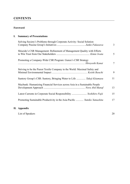#### **CONTENTS**

#### **Foreword**

#### **I. Summary of Presentations**

| Solving Society's Problems through Corporate Activity: Social Solution     | 3  |
|----------------------------------------------------------------------------|----|
| Shiseido's CSR Management: Refinement of Management Quality with Efforts   | 5  |
| Promoting a Company-Wide CSR Program: Gunze's CSR Strategy                 | 7  |
| Striving to be the Purest Textile Company in the World: Maximal Safety and | 9  |
| Suntory Group's CSR: Suntory, Bringing Water to Life  Takeji Kitamasu      | 11 |
| Maybank: Humanizing Financial Services across Asia in a Sustainable People | 13 |
| Latest Currents in Corporate Social Responsibility  Yoshihiro Fujii        | 15 |
| Promoting Sustainable Productivity in the Asia-Pacific  Yumiko Yamashita   | 17 |

#### **II. Appendix**

| List of Speakers |  |
|------------------|--|
|                  |  |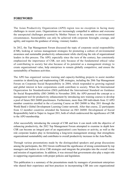#### **FOREWORD**

The Asian Productivity Organization (APO) region was no exception in facing many challenges in recent years. Organizations are increasingly compelled to address and overcome the unexpected challenges presented by Mother Nature or by economic or environmental circumstances. Sustainability can only be achieved with corporate foresight, courage, and agility, and requires the guidance of strong, visionary leaders.

In 2012, the Top Management Forum discussed the topic of corporate social responsibility (CSR), looking at various management strategies for promoting a culture of environmental awareness and sustainable productivity enhancement while clarifying the role of organizational leaders in this process. The APO, especially since the turn of the century, has consistently emphasized the importance of CSR, not only because of the fundamental ethical value of contributing to society but also because of its potential as a management strategy to create organizational value, help enterprises to remain globally competitive, and ensure the sustainability of business activities.

The APO has organized various training and capacity-building projects to assist member countries in identifying and implementing CSR strategies, including the 20th Top Management Forum on Corporate Social Responsibility in 2004, which responded to growing regional and global interest in how corporations could contribute to society. When the International Organization for Standardization (ISO) published the International Standard on Guidance for Social Responsibility (ISO 26000) in November 2010, the APO pursued the concept as a management tool for productivity enhancement by introducing new training courses to develop a pool of future ISO 26000 practitioners. Furthermore, more than 200 individuals from 12 APO member countries enrolled in the e-Learning Course on ISO 26000 in May 2011 through the World Bank's Global Development Learning Center network. After that course, 22 participants from 12 member countries attended the Seminar on ISO 26000: Development of Social Responsibility held in Taipei in August 2011, both of which underscored the significance of CSR to the APO membership.

After successfully introducing the concept of CSR and how it can mesh with the objective of enhancing productivity, the 2012 Top Management Forum attempted to examine in depth how CSR can become an integral part of an organization's core business or activity, as well as the role corporate leaders play in formulating a long-term management strategy that strengthens organizational sustainability and contributes to overall productivity increases in the Asia-Pacific.

Through various presentations made by the distinguished speakers and group discussions among the participants, the 2012 forum reaffirmed the significance of strong commitment by top managers and leaders to drive CSR strategies and integrate the principles into the overall vision and mission of organizations. In addition, it was stressed that governments also play a major role in supporting organizations with proper policies and legislation.

This publication is a summary of the presentations made by managers of prominent enterprises who shared their experience and best practices in incorporating CSR into core organizational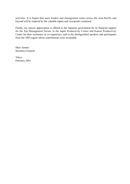activities. It is hoped that more leaders and management teams across the Asia-Pacific and beyond will be inspired by the valuable inputs and viewpoints contained.

Finally, my sincere appreciation is offered to the Japanese government for its financial support for the Top Management Forum, to the Japan Productivity Center and Kansai Productivity Center for their assistance as co-organizers, and to the distinguished speakers and participants from the APO region whose contributions were invaluable.

Mari Amano Secretary-General

Tokyo February 2014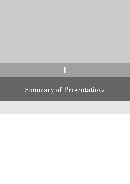### Summary of Presentations

I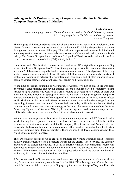#### *Junko Fukasawa*

*Senior Managing Director, Human Resources Division, Public Relations Department Advertising Department, Social Contribution Department Pasona Group Inc.*

The first page of the Pasona Group rules, which are given to every newly hired employee, states: "Pasona's work is harnessing the potential of the individual." Solving the problems of society through work is the corporate philosophy. This is done to support various stages in life through temporary staffing services, business reform consultancy, childcare, education, and care for the elderly. The Pasona Group refers to itself as a "life produce" business and considers its work to be a corporate social responsibility (CSR) activity in itself.

Founder Yasuyuki Nambu started Pasona Inc. as a student in 1976. Originally a temporary staffing service, the Pasona Group now has 70 offices throughout Japan, with 37 branches in 10 countries, and some 6,000 employees, equally divided between men and women. The objectives of the group are to: 1) create a society in which all are able to find fulfilling work; 2) work toward a society with egalitarian relationships between the workplace and individuals; and 3) offer opportunities for people to achieve their dreams regardless of age, gender, or differing abilities.

At the time of Pasona's founding, it was unusual for Japanese women to stay in the workforce or reenter it after marriage and having children. Pasona's founder started a temporary staffing service to give women who wanted to work a chance to develop their careers at their own pace, taking into account an appropriate work-life balance. Although in general temporary workers were paid only about half the wages of full-time employees at the time, Pasona refused to discriminate in this way and offered wages that were about twice the average from the beginning. Recognizing that new skills were indispensable, in 1983 Pasona began offering training in word processing, a new technology at the time. Numerous events such as the Word Processing Olympics and Women's Working Expo were organized and a monthly magazine was published to raise awareness of women's abilities and allow them to network.

With an excellent response to its services for women and employers, in 1987 Pasona founded Work Sharing Inc. to promote more diverse forms of work for all stages of life. In 1990, a business agreement was concluded with the US company Bright Horizon and Pasona Foster Inc. was established as an outsourcing firm to manage in-office childcare as part of the infrastructure to support women's labor force participation. There are now 13 childcare centers nationwide, of which six are centered in offices

The care of elderly parents is just as crucial as childcare for working women in Japan. Therefore in 2000, Pasona began to offer a homecare system for the elderly. Those services are currently provided by 22 offices nationwide. In 2012, an Internet-enabled telecommuting scheme was developed to support women and people with disabilities who are tied to the home but wish to work. When Pasona was founded in 1976, the population of working women numbered 12 million; by 2012 it had almost doubled to 23 million.

After its success in offering services that focused on helping women to balance work and life, Pasona turned to other groups in society. In 1980, Elder Management Center Inc. was established as a specialist temporary staffing agency for men over the age of 50 years. Under the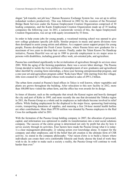slogan "job transfer, not job loss," Human Resource Exchange System Inc. was set up to utilize redundant workers productively. This was followed in 2002 by the creation of the Personnel Bridge Bank Services under the Kansai Employment Creation Organization comprised of 30 leading companies, and the Kanto Employment Creation Organization made up of 35 leading companies the following year. In 2011, a nationwide version of this, the Japan Employment Creation Organization, was set up with equity investment by 53 firms.

In order to help create jobs for young people, a vocational training school was opened to give new college graduates specific job skills. Similar projects in music and sports divisions were then developed to assist young artists and athletes. As a support career support project for young people, Pasona developed the Fresh Career System, where Pasona hires new graduates for a maximum of two years to develop their careers. Finally, under the Talent Knows No Handicap initiative, Pasona Heartful was set up in 1989 to provide employment in six major areas to persons with disabilities, including general office work, art-oriented jobs, and agriculture.

Pasona has contributed significantly to the revitalization of agriculture through its services since 2001. With the aging of the farming population, there was a severe labor shortage. The Pasona Group decided to tackle the twin problems of unemployment of new graduates and agricultural labor shortfall by creating farm internships, a three-year farming entrepreneurship program, and a one-year art-and-agriculture program called "Koko kara Mura" (life starting from this village). Jobs were created for 1,500 people whose work resulted in sales of JPY1.2 billion.

The urban farm created at Pasona's head offices in Tokyo is well known, where vegetables and plants are grown throughout the building. After relocation to this new facility in 2012, more than 100,000 have visited the urban farm, and the office has won awards for its design.

In times of disaster, such as the earthquake that struck the Kansai region and heavily damaged the city and port of Kobe in 1995, and more recently the one that devastated the Tohoku region in 2011, the Pasona Group as a whole and its employees as individuals become involved in relief efforts. While finding employment for the displaced is the major focus, sponsoring fund-raising events, transporting donations of supplies, and manning a free 24-hour mental health hotline are other contributions. More than JPY50 million was donated by Pasona employees to the Red Cross for earthquake relief in 2011.

With the formation of the Pasona Group holding company in 2007, the allocation of personnel, capital, and information was optimized to enable its transformation into a total social solutions company. The success of the entire group is determined not only by profit but also by how it serves society through its activities. Four factors have made the Pasona Group what it is today: 1) a clear management philosophy; 2) valuing action over knowledge alone; 3) respect for the company and other employees; and 4) the belief that job creation is the ultimate form of CSR activity. As stated in the company philosophy: "Our raison d'etre is to build a future where individuals can create their own comfortable lifestyle and freely choose the kind of work they wish to do. In order to make such a society a reality, the Pasona Group will continue to work harder than ever."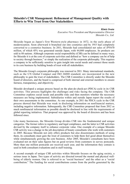*Kimie Iwata Executive Vice President and Representative Director*

*Shiseido Co., Ltd.*

Shiseido began as Japan's first Western-style pharmacy in 1872, in the early phase of modernization. Soon afterward it branched out into cosmetics and by 1915 had completely converted to a cosmetics business. In 2011, Shiseido had consolidated net sales of JPY670 million, of which 45% was generated outside Japan, with 44,000 employees. Its products are sold in 88 nations. Although corporate social responsibility (CSR) can be defined in many ways, for Shiseido it is at the core of corporate activities and defined as "how a company can be of help to society through business," or simply the realization of the corporate philosophy. This requires a company to be sufficiently sensitive to gain insight into social needs and connect those needs to its core business by building bonds of trust with all stakeholders.

The Shiseido Group's corporate philosophy was renewed in 2011. Many international standards, such as the UN Global Compact and ISO 26000 standard, are incorporated in the new philosophy to gain the trust of stakeholders. The CSR Committee is directly under the Shiseido board of directors, and the board is comprised of both internal and external members to ensure fairness, transparency, and objectivity.

Shiseido developed a unique process based on the plan-do-check-act (PDCA) cycle in its CSR activities. This process highlights the challenges and risks facing the company. The CSR Committee explores social needs and possible risks and then monitors whether the necessary measures are being implemented. Subsidiaries within and outside Japan report the results of their own assessments to the committee. As one example, in 2011 the PDCA cycle in the CSR process showed that Shiseido was weak in disclosing information on nonfinancial matters, including negative information. Subsequently, the CSR Committee proposed that from 2012 as much nonfinancial information as possible should be disclosed in line with the requirements of global reporting initiatives. That proposal was approved by the board of directors and has been followed since.

Like many businesses, the Shiseido Group divides CSR into the fundamental and unique categories. The former refers to regulatory and legal compliance, and the latter to CSR activities devised by the company itself to enhance corporate value. One example of a unique Shiseido CSR activity was a change in the job description of beauty consultants who work with customers in 2005. Because Shiseido not only offers products but also disseminates methods of using them, its consultants must gain the trust of customers to help them feel good about themselves while simultaneously growing the core business. After 2005, Shiseido's consultants have been evaluated not on their sales figures but on good reviews from customers in survey postcards. More than one million postcards are received each year, and the information they contain is used in both consultant evaluations and in staff training.

A second example of unique CSR activities within Shiseido focuses on the aging society, a serious issue in Japan. Two types of activity are directed toward the mental and physical wellbeing of elderly women. One is referred to as "social business" and the other as a "social contribution." The funding for social contributions comes from the profits generated by the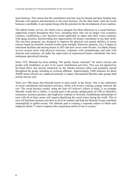main business. This means that the contribution activities may be limited and their funding may fluctuate with upturns and downturns in the main business. On the other hand, when the social business is profitable, it can expand along with the potential for the development of new markets.

The elderly beauty service, for which a fee is charged, has three objectives as a social business: supporting women throughout their lives, including those who can no longer visit cosmetics counters; establishing a new business model applicable in Japan and other Asian countries with aging societies; and providing new opportunities for beauty consultants to use their skills. The one-hour program was designed to improve the physical and mental abilities of senior citizens based on scientific research results (grip strength, brainwave patterns, etc.). It began in retirement facilities and nursing homes in 2011 and now covers some 60 sites. An elderly beauty service session starts with physical exercises, continues with aromatherapy, and ends with skincare and cosmetics, all under the supervision of experienced beauty consultants who have undergone specialized training.

Since 1975, Shiseido has been holding "life quality beauty seminars" for senior citizens and people with disabilities as part of its social contribution activities. This was not planned by the head office, but started voluntarily by the Tohoku business office and gradually spread throughout the group, including its overseas affiliates. Approximately 3,000 seminars for about 50,000 senior citizens are conducted annually in Japan; international Shiseido sales groups hold at least one per year.

There are CSR issues that Shiseido knows it must tackle in the future. One is the unification of social contribution and business activities, which will involve creating synergy between the two. The social business model, along the lines of Unilever's efforts in India, is an example Shiseido would like to follow. A second goal is the greater globalization of CSR as Shiseido's consumers, business partners, and employees continue to diversify. Establishing relationships of trust with all of those actors will require identifying the social issues facing the world. This in turn will facilitate business activities in all of its markets and help the Shiseido Group contribute meaningfully to global society. The ultimate goal is creating a corporate culture in which each employee thinks "I want to improve this corporation and be of use to society."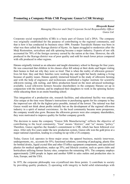#### **Promoting a Company-Wide CSR Program: Gunze's CSR Strategy**

#### *Hiroyoshi Kanai*

*Managing Director and Chief Corporate Social Responsibility Officer Gunze Ltd.*

Corporate social responsibility (CSR) is a basic part of Gunze Ltd.'s DNA. The company was originally established for the purpose of contributing to the regional community, and that is how it has conducted its business since 1896. Founder Tsurukichi Hatano was born in what was then called the Ikaruga district of Kyoto. As Japan struggled to modernize after the Meiji Restoration, sericulture and silk spinning became a major industry. Exports of raw silk accounted for 70% of the foreign currency earned by the nation at the time. However, the silk produced in the Ikaruga district was of poor quality and sold for much lower prices compared with silk produced in other regions.

Hatano originally trained as an educator and taught elementary school in Ikaruga for four years. He was concerned that children in his classes often fell asleep at their desks and began visiting their homes to find out why they were so tired. That is when the reality of silkworm growers' lives hit him: they and their families were working day and night but barely making a living because of quality issues. Hatano quickly immersed himself in the study of silkworm farming and with the help of engineers and technicians established a higher institute for scientific silkworm raising, silk reeling, and fabric production based on the most advanced technology available. Local silkworm farmers became shareholders in the company Hatano set up in conjunction with the institute, and he employed their daughters to work in the spinning factory while educating them in an onsite boarding school.

This integration of a production site, research facilities, and educational facility was unique. Also unique at the time were Hatano's instructions to purchasing agents for his company to buy the improved raw silk for the highest price possible, instead of the lowest. The rational was that Gunze would not think about profits initially but on the development of the regional silkworm industry in a spirit of mutual coexistence. As the local community became more prosperous, the company would also grow. Because the silkworm growers were also company shareholders, they were motivated to improve quality for further company growth.

The decision to name the company "Gunze Silk Manufacturing" reflects the objective of contributing to the local community. "Gun" means "district," and "ze" means "policy." Therefore, Gunze signifies the founder's commitment to CSR, which has been followed ever since. After only five years under the new production system, Gunze silk won the gold prize at a major national exposition, leading to a trading tie-up with a US company.

Today, Gunze Ltd. operates in three major areas: the apparel business, mainly innerwear, undergarments, etc., accounts for 55%; functional solutions, consisting of packaging, plastic film for bottled drinks, liquid crystal film and other IT/office equipment components, and specialized plastics for medical applications, makes up 35%; and lifestyle creation, such as sports clubs and horticulture utilizing former factory sites, comprises the remaining 10%. The company employs approximately 2,000 people in Japan and another 9,000 in sales outlets and production sites in Asia, Europe, and the USA.

In 1975, the corporate philosophy was crystallized into three points: 1) contribute to society by providing quality products; 2) operating with integrity to build solid relationships with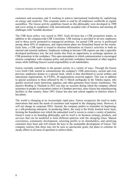customers and associates; and 3) working to achieve international leadership by capitalizing on energy and creativity. This corporate motto is read by all employees worldwide at regular assemblies. The Gunze activity guidelines based on this philosophy were developed in 1998 and cover acting in compliance with internationally accepted rules of business and meeting all challenges with "sensible decisions."

The CSR basic policy was issued in 2007. Each division has a CSR promotion leader, in addition to the companywide CSR Committee. CSR training is provided to all new employees and to those newly promoted to managerial positions. An annual CSR survey is performed among about 85% of employees, and improvement plans are formulated based on the results. Each June, a CSR report is issued to disclose information on Gunze's activities to both an internal and external audience. Employees wishing to become CSR experts can take a specially developed proficiency test; the test results also form an opportunity to exchange opinions on CSR promotion in the workplace. This open atmosphere in which communication is encouraged ensures compliance with company policy and prevents workplace harassment or other negative issues while fulfilling Gunze's social responsibility to all stakeholders.

Gunze currently contributes to the greater society in a variety of ways. Through the Gunze Love Earth Club, started to commemorate the company's 110th anniversary, current and even previous employees donate to a special fund, which is then distributed to social welfare and educational organizations. In FY2011, 20 organizations received support. This was in addition to special assistance to those affected by the 11 March earthquake in the Tohoku region, who quickly received warm innerwear, pajamas, and other garments from Gunze warehouses. The massive flooding in Thailand in 2012 was also an occasion during which the company offered assistance to people in evacuation centers in Chonburi province, since Gunze has manufacturing facilities in that country. Since 1997, Gunze has also sent school supplies to districts where it has plants.

The world is changing at an increasingly rapid pace. Gunze recognizes the need to make innovations that meet the needs of customers and respond to the changing times. However, it will not change its corporate DNA. Instead, the company prefers to remember its beginnings as a silk-producing enterprise. In producing fabric, the warp is the firmly knotted lower layer, forming the foundation over which the unknotted woof is woven to create a variety of patterns. Gunze's warp is its founding philosophy, and its woof is its business strategy, products, and services that can be modified to form different patterns with the changing times. Mutual coexistence, community development, returning profits to its shareholders, and satisfying customers have been and will remain the keys to the sustainable development of Gunze. The company realizes that these may not be seen as spectacular goals, but plans to continue its steady efforts in all areas of operation to achieve them.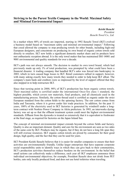*Keishi Ikeuchi President Ikeuchi Towel Co., Ltd.*

In a market where 80% of towels are imported, starting in 1992 Ikeuchi Towel (IKT) evolved a business model based on "maximum safety and minimal environmental impact." Following that creed allowed the company to stop producing towels for other brands, including high-end European designers, and concentrate on producing its own brand of organic cotton towels sold directly to retailers. IKT now holds a significant domestic market share and its products have met enthusiastic reception abroad. It is the only towel maker that has maintained ISO 14001 and 9001 environmental and quality standards for over a decade.

IKT's path was not always smooth. The decision to market its own towel brand, which had previously made up only 1% of total production, was prompted by what could have been a financial disaster. A trading company that handled IKT's sales was forced into bankruptcy in 2003, which in turn caused huge losses to IKT. Retail customers rallied in support, however, with many asking exactly how many towels they needed to order to help keep IKT afloat. The company's main bank and creditors were so impressed by the level of support offered that they also stepped in to help restructure IKT.

Since that turning point in 2000, 90% of IKT's production has been organic cotton towels. Their maximal safety is certified under the international Oeco-Tex class 1 standard, the highest possible, which covers raw materials, final products, and all chemicals used in the manufacturing process. Similarly, the cotton thread used is certified as organic under the strict European standard from the cotton fields to the spinning factory. The raw cotton comes from India and Tanzania, where it is grown under fair trade practices. In addition, for the past 11 years, 100% of the electricity used in IKT factories is generated by windmill under a longterm contract with Noshiro Power Company in Akita prefecture. In 1993, an interworks dyeing factory was set up so that the effluent treatment system could meet the highest environmental standards. Effluent from the dyeworks is treated so extensively that it is equivalent to freshwater at the final stage, as required for factories on the Japan Inland Sea.

The concept of minimal environmental impact extends beyond the cotton fields and factory. Quality is also an important element. Quality and care for the environment are seen as two sides of the same coin by IKT. Products may be organic, but if they do not have a long life span they will still overuse resources. IKT organic cotton towels are prized by consumers for their good design, high quality, and the fact that they can be used for years.

IKT President Keishi Ikeuchi believes that it is easier for smaller companies to ensure that their activities are environmentally friendly. Unlike larger enterprises that have separate corporate social responsibility units to identify ways in which they can give back to their communities, IKT's production activities themselves reduce burdens on the environment. In the belief that small actions can collectively make a difference, each year all IKT employees announce three individual environmental objectives; for example, President Ikeuchi does not drink from PET bottles, eats only locally produced food, and does not use hotel toiletries when traveling.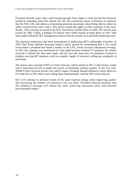President Ikeuchi urges other small businesspeople from Japan to look beyond the domestic market by attending trade fairs abroad. He cites the contractual nature of business in countries like the USA, UK, and others as eliminating potential uncertainty about being able to collect on orders received from such venues. This advice would also apply to other countries in the Asia-Pacific. After winning an award at the New York Home Textiles Show in 2002, IKT towels were carried by ABC Carpet, a leading US interior store. Other awards at trade shows in New York and London followed. IKT management realizes that the awards were powerful marketing tools.

The Japanese media have also been instrumental in publicizing IKT's philosophy of quality. In 2003, then Prime Minister Koizumi ended a policy speech by commenting that a very small towel maker's president had found a market in the USA, which received widespread coverage. In 2011, the company was mentioned on a late-night business-oriented TV program. Its website received 5 million hits that same night, and the next day long lines of consumers formed at retailers carrying IKT products, with two months' supply of inventory selling out completely at each shop.

The newest sales concept of IKT is Cotton Nouveau, which started in 2011. Cotton from a single year's Tanzanian harvest is made into towels of absolutely uniform quality. In the first year, 10,000 Cotton Nouveau towels were sold in Japan; President Ikeuchi planned to show them at a US trade fair in 2012 and to start selling them internationally with the 2013 cotton harvest.

IKT will continue to produce towels of the same timeless design while improving quality and increasing the number of consumers who use them. President Ikeuchi promises that the company's message will remain the same: achieving maximum safety and minimal environmental impact.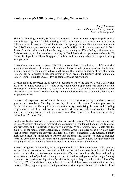*Takeji Kitamasu General Manager, CSR Department Suntory Holdings Ltd.*

Since its founding in 1899, Suntory has pursued a three-pronged corporate philosophy: maintaining a "go-for-it" spirit; sharing profits with society; and coexisting with nature. Following that philosophy allowed the Suntory Group to grow into 199 companies with more than 25,000 employees worldwide. Ordinary profit of JPY110 billion was generated in 2011. Suntory's main business is food and beverages, accounting for 93% of sales, with restaurants, florist operations, and fitness clubs accounting for 7%. It has business operations in Oceania, PR China, the Republic of China, Singapore, Thailand, and Indonesia, where it ties up with strong local partners.

Suntory's corporate social responsibility (CSR) activities have a long history. In 1921, it started a welfare foundation that operated a free clinic. Today, social contributions take the form of nursing homes for the elderly, educational grants, the Suntory Museum of Art, the famed Suntory Hall for classical music, sponsorship of sports teams, the Suntory Music Foundation, Suntory Culture Foundation, safe-driving campaigns, and many others.

Because food and beverages are so heavily dependent on water, the Suntory Group's CSR vision has been "bringing water to life" since 2005, when a CSR Department was officially set up. This slogan has three meanings: 1) respectful use of water; 2) becoming an invigorating force like water to contribute to society; and 3) having employees who are as dynamic, flexible, and adaptable as water.

In terms of respectful use of water, Suntory's strict in-house purity standards exceed governmental standards. Cleaning and cooling rely on recycled water. Different processes in the factories have specific requirements for water purity, maximizing the reuse and recycling of groundwater, which is used instead of tap water. All water is purified and monitored for 24 hours before being discharged into the environment. Overall water use has been successfully reduced by 50% since 1990.

In addition, Suntory recharges its groundwater resources by creating "natural water sanctuaries," i.e., 7,000 hectares of managed forests where biodiversity is maintained, flooding and landslides are prevented, and tree growth is carefully monitored. While forestry professionals play the main role in the natural water sanctuaries, all Suntory Group employees spend a few days every year in forest conservation activities. In addition, as part of educational CSR outreach, Suntory hosts school field trips in its bottled water plants and then takes students on tours of managed forests to explain the need for conservation. Approximately 12,000 students have participated in this program so far. Lecturers also visit schools to speak on conservation efforts.

Suntory recognizes that a healthy water supply depends on a clean atmosphere, which requires its operations to use fewer resources and result in less harmful emissions. In addition to limiting water consumption and recharging groundwater,  $CO<sub>2</sub>$  emissions have also been reduced by about 60% per unit of production through the use of liquid natural gas and solar energy. Suntory revamped its distribution logistics after determining that larger trucks emitted less CO<sub>2</sub>. Currently, 35% of products are shipped by rail or sea, which have lower emission rates than land transport. The group also pioneered integrated transport arrangements to avoid empty trucks or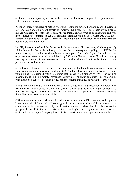containers on return journeys. This involves tie-ups with electric equipment companies or even with competing beverage companies.

As Japan's largest producer of bottled water and leading maker of other nonalcoholic beverages, Suntory has made significant efforts to improve PET bottles to reduce their environmental impact. Changing the bottle labels from the traditional shrink-wrap to an innovative roll-type label enabled the company to cut  $CO<sub>2</sub>$  emissions from labeling by 18%. Compared with 2005, current PET bottles now weigh less than half, meaning that  $CO<sub>2</sub>$  emissions in manufacturing the bottles were also cut by 50%.

In 2011, Suntory introduced the P-ecot bottle for its nonalcoholic beverages, which weighs only 13.5 g. It was the first in the industry to develop the technology for recycling used PET bottles into new ones, or even into work uniforms and auto parts. This technology reduces the amount of petroleum-derived material in each bottle by  $90\%$  and  $CO<sub>2</sub>$  emissions by 60%. It is currently working on a method to use biomass to produce bottles, which will not involve the use of any petroleum-derived materials.

Japan has an estimated 2.5 million vending machines for food and beverages alone, which use significant amounts of electricity and emit CO<sub>2</sub>. Suntory devised a more eco-friendly type of vending machine equipped with a heat pump that slashes  $CO<sub>2</sub>$  emissions by 49%. That vending machine model is being rapidly introduced nationwide. The group continues R&D to come up with even better types of beverage bottles and the vending machines in which they are sold.

Along with its planned CSR activities, the Suntory Group is a rapid responder to emergencies. Examples were earthquakes in Chile, Haiti, New Zealand, and the Tohoku region of Japan and the 2011 flooding in Thailand. Suntory sent contributions and supplies to the people affected by those disasters as soon as was possible.

CSR reports and group profiles are issued annually to let the public, partners, and suppliers know about all of Suntory's efforts to give back to communities and help conserve the environment. Surveys conducted by third parties continue to show that the public ranks the group in the top 10 in terms of trustworthiness. Suntory's aim is to gain even more trust and continue to be the type of company that protects the environment and operates sustainably.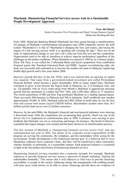*Nora Abd Manaf Senior Executive Vice President and Head, Group Human Capital Malaysian Banking Berhad*

From 2008, Malaysian Banking Berhad (Maybank) has been going through a transformation. An analogy of Maybank's transformation and progress since 2008 commonly used by the staff (called "Maybankers") is that of "Maybankers changing the tires and wipers, and tuning the engine of a fast moving racecar while it is speeding and winning the laps." There are no pit stops in organizational change as you can't call a time-out from the race and the competition. Organizations need to be able to transform to achieve superior performance regardless of the challenges in the market conditions. When Maybank was started in 1960 by its visionary leader, Khoo Tek Puat, it was called the Coffeeshop Bank and faced competition from established financial giants like Standard Chartered Bank and HSBC. Against overwhelming odds, the bank was successful and continued on to become the number one bank in Malaysia, registering double digit growth until a few years before 2008.

However, growth did slow in the late 1970s, and it was realized that an injection of capital was required. That came from a government-linked investment arm called Permodalan Nasional Berhad, which became a major shareholder. With its larger capital base, Maybank continued to grow. It has become the largest bank in Malaysia, no. 4 in Southeast Asia, and no. 134 globally, with an AAA credit rating from Moody's. Maybank is aggressively pursuing growth and has operations in London and New York, and 2,200 other offices in 17 countries. The recent acquisitions of BII and Kim Eng positioned Maybank as a leading regional player. There are nearly 400 branches in Malaysia and 300 in Indonesia. Staff worldwide now number approximately 45,000. In 2010, Maybank achieved USD1 billion in profit after tax for the first time and current total assets exceed USD350 billion. Shareholders number more than 10.5 million and the bank serves over 22 million customers.

However, by the mid-2000s, the Maybank's financial and non-financial indicators were showing a downward trend, while the competition was accelerating their growth, which was one of the drivers for it to implement its transformation plan in 2008. Customers were starting to give feedback that Maybank was not as welcoming and hungry for business. The board of directors concluded that urgent changes were needed and the bank started on its transformation journey.

The new mission of Maybank is "humanizing financial services across Asia" and was communicated last year in 2010. The pillars of its corporate social responsibility (CSR) program are serving the community, the workplace, and the marketplace while caring for the environment. People development is the underlying internal goal. It is believed that if every Maybanker embraces those corporate values, that they will be transferred to their community, whether formally or informally, in a sustainable manner. Each proposed initiative is examined in light of the four pillars and mission of humanizing financial services.

Humanizing financial services translates into a corporate strength. For example, Maybank endeavors to provide financial services across a spectrum of people including "making the unbankables bankable." This means that it will endeavor to find ways to provide financing accessibility to people in the society, balancing strong risk management with enabling people with prior poor credit history to be able to secure financing, provide there are evidences of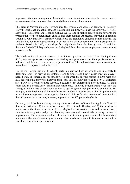improving situation management. Maybank's overall intention is to raise the overall socialeconomic conditions and contribute towards the nation's wealth creation.

The Tiger is Maybank's logo. It symbolizes the group's core values of Teamwork, Integrity, Growth, Excellence and efficiency, and Relationship building, which has the acronym of TIGER. Maybank's CSR program is called Cahaya Kasih, and it makes contributions towards the preservation of these magnificent animals and their habitats. At present, Maybank undertakes around 70 CSR initiatives annually, which focus on abandoned children, senior citizens, and scholarships for training/retraining in co-operation with government-linked programs for students. Starting in 2010, scholarships for study abroad have also been granted. In addition, there is a Global CSR Day each year in all Maybank branches, where employees choose a cause to volunteer for.

The Maybank transformation also extends to internal practices. A Career Transitioning Center (CTC) was set up to assist employees in finding new positions where their performance had indicated that they were not in the right positions. Over 70 employees have been successful retrained and re-deployed under the CTC.

Unlike most organizations, Maybank performs surveys both externally and internally to determine how it is serving its customers and to understand how it could meet employees' needs better. The internal survey results were poor when the surveys started in 2008, with only 20% reporting that they were happy in their jobs. That has now improved to a 40% satisfaction rate. Partly as a result of these surveys, a culture of measurement is now in place. All units enter data in a compulsory "performance dashboard," allowing benchmarking over time and among different areas of operations as well as against global high performing companies. For example, at the beginning of the transformation in 2008, Maybank was at the  $77<sup>th</sup>$  percentile in its employee engagement survey, against the global high performing companies' benchmark at the  $83<sup>rd</sup>$  percentile. It has now, however, improved to the  $85<sup>th</sup>$  percentile (2012).

Currently, the bank is addressing two key areas to position itself as a leading Asian Financial Services institution: 1) the need to be more efficient and effective; and 2) the need to be innovative in the financial services offered. Maybank continuously tracks and measures world standard efficiency rates and product bundling solutions, and is constantly pursuing continuous improvement. The sustainable culture of measurement now in place ensures that Maybankers understand the bank's current position and what needs to be done to transform itself into a global high performing organization.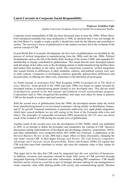#### **Latest Currents in Corporate Social Responsibility**

#### *Professor Yoshihiro Fujii*

*Sophia University Graduate School of Global Environmental Studies*

Corporate social responsibility (CSR) has been discussed since at least the 1900s. When Henry Ford introduced assembly-line mass production in 1908, he declared that it was not enough for the Ford Motor Co. simply to make a profit; it should also work for the laborers and contribute to society. The successive waves of globalization in the modern era have led to the evolution of the current concept of CSR.

In post-World War II economic development, the first wave of globalization was heralded by the process of vertical integration in manufacturing from the 1960s until the late 1980s. Political developments such as the fall of the Berlin Wall, breakup of the former USSR, and expanded EU membership in Europe contributed to globalization. This meant that the more developed nations took advantage of low labor costs in the developing nations to build manufacturing facilities there and market their products to the entire world. The connections created by vertical integration also caused friction as differences in labor standards, cultures, and political systems were seen in stark contrast. Companies in developing countries generally ignored those differences and focused solely on offering low labor costs, sometimes to the detriment of social good.

As Nobel laureate in economics Prof. Paul Krugman (1994) [1] pointed out in *The Myth of Asia's Miracles*, Asian growth in the 1980s and early 1980s was based on capital invested by developed nations in manufacturing plants located in less developed ones. This did not result in productivity growth in the host nations and hindered overall socioeconomic progress. Corporations such as Nike recognized this problem, and steps were taken by many to practice CSR for the benefit of workers and local societies.

With the second wave of globalization from the 1990s, the developed nations made the switch from manufacturing-based to service-based economies, relying mainly on distribution, finance, and IT for growth. Financial institutions in particular underwent very rapid global integration, which later caused problems we are still seeing in the form of the European debt crisis and others. The principles of responsible investment (PRI) proposed by the UN were one direct result of the evolution of CSR during the second wave of globalization.

Another result of the second wave was the development of ISO 26000, which was published in 2010, in an attempt to define the principles and standardize the concept of CSR. Intensive discussions among representatives of developed and developing countries, corporations, NGOs, and other stakeholders were conducted before ISO 26000 was finalized. A publication in the *Harvard Business Review* in late 2006 had a major effect on those discussions, changing the way many viewed CSR. In their paper *Strategy and Society: The Link between Competitive Advantage and Corporate Social Responsibility*, Porter and Kramer (2006) [2] argued that CSR activities must both contribute to society and raise the corporate value or they cannot be sustainable.

That paper led to the idea that CSR must be integrated into the core activities of businesses. In addition, investors and customers should be made fully aware of CSR activities through integrated reporting of financial and other information, including PRI compliance. CSR should therefore not be viewed as a cost but as part of strategic decision making by top management to create corporate value while sharing profits with society and communicating openly. Because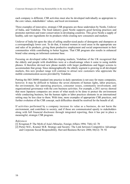each company is different, CSR activities must also be developed individually as appropriate to the core values, stakeholders' values, and local environment.

Three examples of innovative, strategic CSR programs are those undertaken by Nestle, Unilever of India, and Vodafone. The food industry giant Nestle supports good farming practices and promotes nutrition and water conservation in developing countries. This gives Nestle a supply of healthy, safe raw ingredients for its products while creating new consumers and markets.

Unilever of India hit upon the idea of selling smaller-sized packs of detergents and shampoos at a correspondingly lower cost. To do that, it trained women in rural areas in the appropriate use and sales of its products, giving them productive employment and social empowerment in their communities while contributing to better hygiene. That CSR program also results in enhanced brand value among an informed customer base.

Focusing on developed rather than developing markets, Vodafone of the UK recognized that the elderly and people with disabilities were at a disadvantage when it came to using mobile phones. It therefore devised new phone models with larger pushbuttons and bigger screens to accommodate that group. Since demographically the elderly segment is growing in all developed markets, this new product range will continue to attract new customers who appreciate the mobile communication access provided by Vodafone.

Putting the ISO 26000 standard into practice in daily operations is not easy for many companies, however. It may be difficult to balance the seven elements of human rights, labor practices, the environment, fair operating practices, consumer issues, community involvement, and organizational governance with the core business activities. For example, a 2011 survey showed that most Japanese companies are aware of what needs to be done to protect the environment while conducting business, but the human rights or labor practices elements in an international setting may be less clear to them. With time, more examples of appropriate CSR practices, and further evolution of the CSR concept, such difficulties should be resolved for the benefit of all.

If activities performed by a company increase its value as a business, do not harm the environment, and contribute to society, and if those are communicated openly to stakeholders along with full financial disclosure through integrated reporting, then it has put in place a meaningful, strategic CSR program.

#### *References*

- [1] Krugman P. The Myth of Asia's Miracles. Foreign Affairs 1994; 73(6): 62–78
- [2] Porter M.E., Kramer M.R. Strategy and Society: The Link between Competitive Advantage and Corporate Social Responsibility. Harvard Business Review 2006; 84(12): 78–92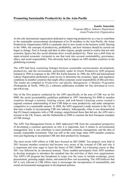*Yumiko Yamashita*

*Program Officer, Industry Department Asian Productivity Organization*

As the sole international organization dedicated to improving productivity as a way to contribute to the sustainable socioeconomic development of its 20 members in the Asia-Pacific, the Asian Productivity Organization (APO) is constantly alert to new trends in the business world. Starting in the 1980s, the concepts of productivity, profitability, and how business should be carried out began to change. First in Europe and then in other regions, people started to realize that not only economic figures but also social elements drive overall productivity. There was a shift from an input-oriented economic viewpoint to one that took into account sustainability, governance, ethics, and social responsibility. This obviously had an impact on APO member countries in the globalizing economy.

The APO had been examining linkages between sustainable socioeconomic development, productivity, and the environment, particularly under its Green Productivity (GP) program initiated in 1994 in response to the 1992 Rio Earth Summit. In 1996, the APO and International Labour Organization performed a joint survey to determine the economic, legal, and regulatory conditions in member countries that might affect corporate social responsibility (CSR) activities. The results are compiled in *Productivity and Quality Management: A Modular Programme* (Prokopenko & North, 1996) [1], a reference publication available for free download at www. apo-tokyo.org.

One of the first projects conducted by the APO specifically in the area of CSR was on SA 8000, the social accountability guidelines published in 1997. Introducing SA 8000 to member countries through a seminar, training course, and web-based e-learning course created a regional common understanding of how CSR helps to raise productivity and make enterprises competitive in a sustainable manner. In 2004, the APO organized a study mission to the UK, at that time a leader in incorporating CSR into industry. Subsequently, when it was demonstrated that EU-based companies with a CSR strategy outperformed those that did not, the APO sent a mission to the UK, France, and the Netherlands in 2008 to examine the best European examples of CSR strategy.

The APO Top Management Forum in 2005 addressed CSR from the conceptual perspective of developing a common agreement on why it is important, how it relates to environmental management, how it can contribute to more profitable corporate management, and the idea of socially responsible investment. That was still in the early stage when APO member countries were just beginning to incorporate CSR into their productivity strategies.

The most recent APO efforts in CSR have focused on ISO 26000. Two projects were held in 2011 because member countries had become very aware of the concept of CSR and why it is important and were eager to learn the basics of ISO 26000. An e-learning course in May 2011 was followed by an advanced seminar. Those enabled participants from APO members to develop strategies to introduce the standard into the activities of their own organizations. The APO's GP program has broadened in scope over the years to include ecodesign, green procurement, greening supply chains, and material flow cost accounting. The APO believes that GP is very relevant to CSR efforts since it encourages the incorporation of sustainability and sound environmental management in development policies.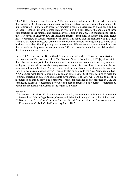The 28th Top Management Forum in 2012 represents a further effort by the APO to study the features of CSR practices undertaken by leading enterprises for sustainable productivity improvement. It is important to share best practices among top executives to encourage a culture of social responsibility within organizations, which will in turn lead to the adoption of those best practices at the national and regional levels. Through the 2012 Top Management Forum, the APO hopes to discover how organizations interpret their roles in society and then decide how to contribute in socially responsible manners. It is hoped that the speakers will give those attending the forum successful examples of management models for integrating CSR into daily business activities. The 37 participants representing different sectors are also asked to share their experiences in promoting and practicing CSR and disseminate the ideas explained during the forum in their own countries.

In the 1987 report of the Brundtland Commission under the UN World Commission on Environment and Development called *Our Common Future* (Brundtland, 1987) [2], it was stated that, "No single blueprint of sustainability will be found as economic and social systems and ecological systems differ widely among countries. Each nation will have to work out its own concrete policy implications. Yet, irrespective of these differences, sustainable development should be seen as a global objective." This could also be applied to the Asia-Pacific region. Each APO member must devise its own policies on and strategies for CSR while seeking to reach the common objective of achieving sustainable development. The APO will continue to assist its members to do this by providing a platform for regional exchange of best practices in CSR and conducting research to determine how CSR can best be integrated into business operations to benefit the productivity movement in the region as a whole.

#### *References*

- [1] Prokopenko J., North K., Productivity and Quality Management: A Modular Programme. International Labour Organization, Geneva, and Asian Productivity Organization, Tokyo; 1996.
- [2] Brundtland G.H. Our Common Future: World Commission on Environment and Development. Oxford: Oxford University Press; 1987.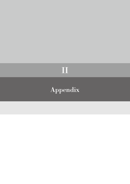## II

## Appendix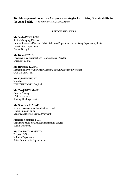#### **Top Management Forum on Corporate Strategies for Driving Sustainability in the Asia-Pacific** (13–15 February 2012, Kyoto, Japan)

#### **LIST OF SPEAKERS**

#### **Ms. Junko FUKASAWA**

Senior Managing Director Human Resources Division, Public Relations Department, Advertising Department, Social Contribution Department Pasona Group Inc.

**Ms. Kimie IWATA**  Executive Vice President and Representative Director Shiseido Co., Ltd.

**Mr. Hiroyoshi KANAI** Managing Director and Chief Corporate Social Responsibility Officer GUNZE LIMITED

**Mr. Keishi IKEUCHI** President IKEUCHI TOWEL Co., Ltd.

#### **Mr. Takeji KITAMASU**

General Manager CSR Department Suntory Holdings Limited

#### **Ms. Nora Abd MANAF**

Senior Executive Vice President and Head Group Human Capital Malaysian Banking Berhad (Maybank)

**Professor Yoshihiro FUJII**  Graduate School of Global Environmental Studies Sophia University

**Ms. Yumiko YAMASHITA** Program Officer Industry Department Asian Productivity Organization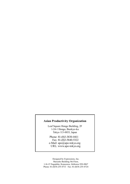#### **Asian Productivity Organization**

Leaf Square Hongo Building, 2F 1-24-1 Hongo, Bunkyo-ku Tokyo 113-0033, Japan

Phone: 81-(0)3-3830-0411 Fax: 81-(0)3-5840-5322 e-Mail: apo@apo-tokyo.org URL: www.apo-tokyo.org

Designed by Expressions, Inc. Marusho Building 5th Floor, 1-16-15 Nagadohe, Kanazawa, Ishikawa 920-0867 Phone: 81-(0)76-255-0713 Fax: 81-(0)76-255-0724